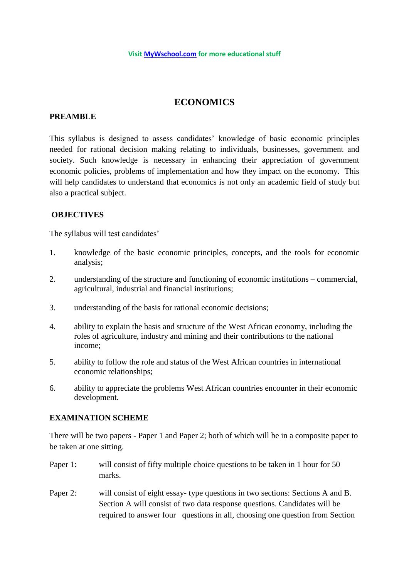# **ECONOMICS**

# **PREAMBLE**

This syllabus is designed to assess candidates' knowledge of basic economic principles needed for rational decision making relating to individuals, businesses, government and society. Such knowledge is necessary in enhancing their appreciation of government economic policies, problems of implementation and how they impact on the economy. This will help candidates to understand that economics is not only an academic field of study but also a practical subject.

# **OBJECTIVES**

The syllabus will test candidates'

- 1. knowledge of the basic economic principles, concepts, and the tools for economic analysis;
- 2. understanding of the structure and functioning of economic institutions commercial, agricultural, industrial and financial institutions;
- 3. understanding of the basis for rational economic decisions;
- 4. ability to explain the basis and structure of the West African economy, including the roles of agriculture, industry and mining and their contributions to the national income;
- 5. ability to follow the role and status of the West African countries in international economic relationships;
- 6. ability to appreciate the problems West African countries encounter in their economic development.

# **EXAMINATION SCHEME**

There will be two papers - Paper 1 and Paper 2; both of which will be in a composite paper to be taken at one sitting.

- Paper 1: will consist of fifty multiple choice questions to be taken in 1 hour for 50 marks.
- Paper 2: will consist of eight essay- type questions in two sections: Sections A and B. Section A will consist of two data response questions. Candidates will be required to answer four questions in all, choosing one question from Section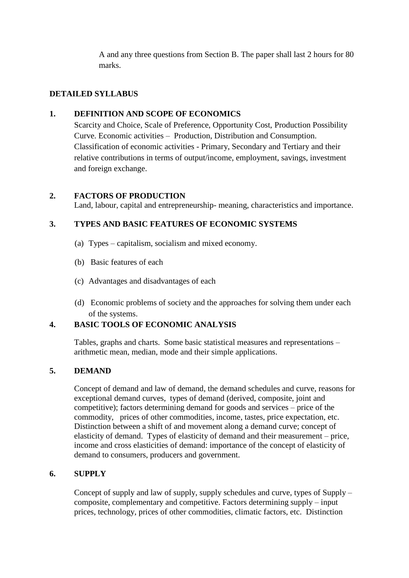A and any three questions from Section B. The paper shall last 2 hours for 80 marks.

# **DETAILED SYLLABUS**

# **1. DEFINITION AND SCOPE OF ECONOMICS**

Scarcity and Choice, Scale of Preference, Opportunity Cost, Production Possibility Curve. Economic activities – Production, Distribution and Consumption. Classification of economic activities - Primary, Secondary and Tertiary and their relative contributions in terms of output/income, employment, savings, investment and foreign exchange.

# **2. FACTORS OF PRODUCTION**

Land, labour, capital and entrepreneurship- meaning, characteristics and importance.

# **3. TYPES AND BASIC FEATURES OF ECONOMIC SYSTEMS**

- (a) Types capitalism, socialism and mixed economy.
- (b) Basic features of each
- (c) Advantages and disadvantages of each
- (d) Economic problems of society and the approaches for solving them under each of the systems.

# **4. BASIC TOOLS OF ECONOMIC ANALYSIS**

Tables, graphs and charts. Some basic statistical measures and representations – arithmetic mean, median, mode and their simple applications.

# **5. DEMAND**

Concept of demand and law of demand, the demand schedules and curve, reasons for exceptional demand curves, types of demand (derived, composite, joint and competitive); factors determining demand for goods and services – price of the commodity,prices of other commodities, income, tastes, price expectation, etc. Distinction between a shift of and movement along a demand curve; concept of elasticity of demand. Types of elasticity of demand and their measurement – price, income and cross elasticities of demand: importance of the concept of elasticity of demand to consumers, producers and government.

### **6. SUPPLY**

Concept of supply and law of supply, supply schedules and curve, types of Supply – composite, complementary and competitive. Factors determining supply – input prices, technology, prices of other commodities, climatic factors, etc. Distinction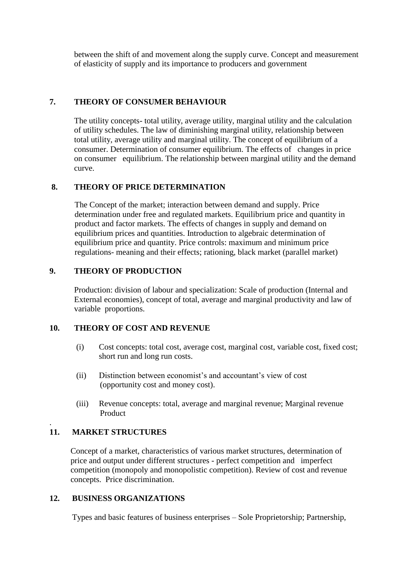between the shift of and movement along the supply curve. Concept and measurement of elasticity of supply and its importance to producers and government

# **7. THEORY OF CONSUMER BEHAVIOUR**

The utility concepts- total utility, average utility, marginal utility and the calculation of utility schedules. The law of diminishing marginal utility, relationship between total utility, average utility and marginal utility. The concept of equilibrium of a consumer. Determination of consumer equilibrium. The effects of changes in price on consumer equilibrium. The relationship between marginal utility and the demand curve.

#### **8. THEORY OF PRICE DETERMINATION**

The Concept of the market; interaction between demand and supply. Price determination under free and regulated markets. Equilibrium price and quantity in product and factor markets. The effects of changes in supply and demand on equilibrium prices and quantities. Introduction to algebraic determination of equilibrium price and quantity. Price controls: maximum and minimum price regulations- meaning and their effects; rationing, black market (parallel market)

### **9. THEORY OF PRODUCTION**

Production: division of labour and specialization: Scale of production (Internal and External economies), concept of total, average and marginal productivity and law of variable proportions.

#### **10. THEORY OF COST AND REVENUE**

- (i) Cost concepts: total cost, average cost, marginal cost, variable cost, fixed cost; short run and long run costs.
- (ii) Distinction between economist's and accountant's view of cost (opportunity cost and money cost).
- (iii) Revenue concepts: total, average and marginal revenue; Marginal revenue Product

# **11. MARKET STRUCTURES**

.

 Concept of a market, characteristics of various market structures, determination of price and output under different structures - perfect competition and imperfect competition (monopoly and monopolistic competition). Review of cost and revenue concepts. Price discrimination.

#### **12. BUSINESS ORGANIZATIONS**

Types and basic features of business enterprises – Sole Proprietorship; Partnership,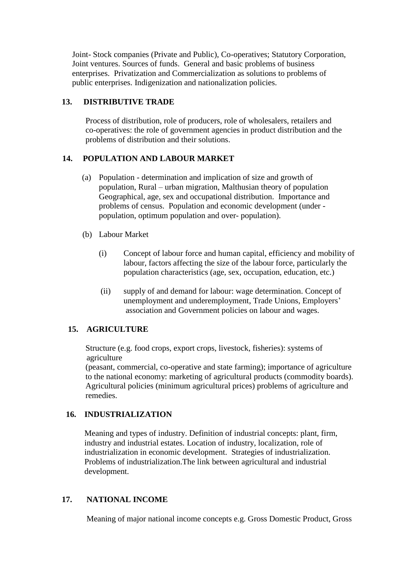Joint- Stock companies (Private and Public), Co-operatives; Statutory Corporation, Joint ventures. Sources of funds. General and basic problems of business enterprises. Privatization and Commercialization as solutions to problems of public enterprises. Indigenization and nationalization policies.

# **13. DISTRIBUTIVE TRADE**

Process of distribution, role of producers, role of wholesalers, retailers and co-operatives: the role of government agencies in product distribution and the problems of distribution and their solutions.

# **14. POPULATION AND LABOUR MARKET**

- (a) Population determination and implication of size and growth of population, Rural – urban migration, Malthusian theory of population Geographical, age, sex and occupational distribution. Importance and problems of census. Population and economic development (under population, optimum population and over- population).
- (b) Labour Market
	- (i) Concept of labour force and human capital, efficiency and mobility of labour, factors affecting the size of the labour force, particularly the population characteristics (age, sex, occupation, education, etc.)
	- (ii) supply of and demand for labour: wage determination. Concept of unemployment and underemployment, Trade Unions, Employers' association and Government policies on labour and wages.

# **15. AGRICULTURE**

 Structure (e.g. food crops, export crops, livestock, fisheries): systems of agriculture

 (peasant, commercial, co-operative and state farming); importance of agriculture to the national economy: marketing of agricultural products (commodity boards). Agricultural policies (minimum agricultural prices) problems of agriculture and remedies.

# **16. INDUSTRIALIZATION**

 Meaning and types of industry. Definition of industrial concepts: plant, firm, industry and industrial estates. Location of industry, localization, role of industrialization in economic development. Strategies of industrialization. Problems of industrialization.The link between agricultural and industrial development.

# **17. NATIONAL INCOME**

Meaning of major national income concepts e.g. Gross Domestic Product, Gross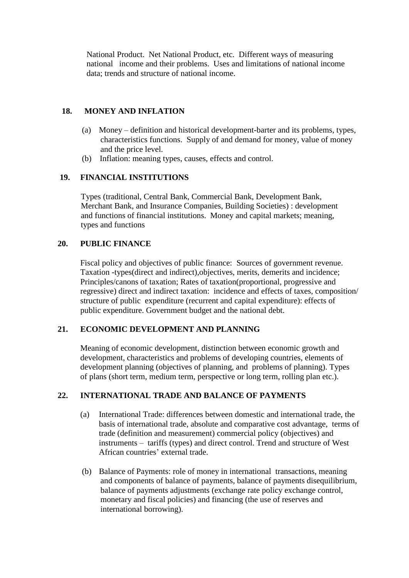National Product. Net National Product, etc. Different ways of measuring national income and their problems. Uses and limitations of national income data; trends and structure of national income.

### **18. MONEY AND INFLATION**

- (a) Money definition and historical development-barter and its problems, types, characteristics functions. Supply of and demand for money, value of money and the price level.
- (b) Inflation: meaning types, causes, effects and control.

# **19. FINANCIAL INSTITUTIONS**

 Types (traditional, Central Bank, Commercial Bank, Development Bank, Merchant Bank, and Insurance Companies, Building Societies) : development and functions of financial institutions. Money and capital markets; meaning, types and functions

### **20. PUBLIC FINANCE**

 Fiscal policy and objectives of public finance: Sources of government revenue. Taxation -types(direct and indirect),objectives, merits, demerits and incidence; Principles/canons of taxation; Rates of taxation(proportional, progressive and regressive) direct and indirect taxation: incidence and effects of taxes, composition/ structure of public expenditure (recurrent and capital expenditure): effects of public expenditure. Government budget and the national debt.

#### **21. ECONOMIC DEVELOPMENT AND PLANNING**

 Meaning of economic development, distinction between economic growth and development, characteristics and problems of developing countries, elements of development planning (objectives of planning, and problems of planning). Types of plans (short term, medium term, perspective or long term, rolling plan etc.).

# **22. INTERNATIONAL TRADE AND BALANCE OF PAYMENTS**

- (a) International Trade: differences between domestic and international trade, the basis of international trade, absolute and comparative cost advantage, terms of trade (definition and measurement) commercial policy (objectives) and instruments – tariffs (types) and direct control. Trend and structure of West African countries' external trade.
- (b) Balance of Payments: role of money in international transactions, meaning and components of balance of payments, balance of payments disequilibrium, balance of payments adjustments (exchange rate policy exchange control, monetary and fiscal policies) and financing (the use of reserves and international borrowing).